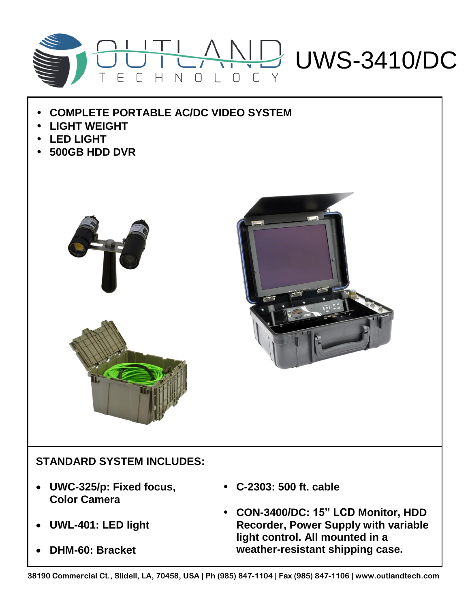

- **COMPLETE PORTABLE AC/DC VIDEO SYSTEM**
- **LIGHT WEIGHT**
- **LED LIGHT**
- **500GB HDD DVR**





## **STANDARD SYSTEM INCLUDES:**

- **UWC-325/p: Fixed focus, Color Camera**
- **UWL-401: LED light**
- **DHM-60: Bracket**
- **C-2303: 500 ft. cable**
- **CON-3400/DC: 15" LCD Monitor, HDD Recorder, Power Supply with variable light control. All mounted in a weather-resistant shipping case.**